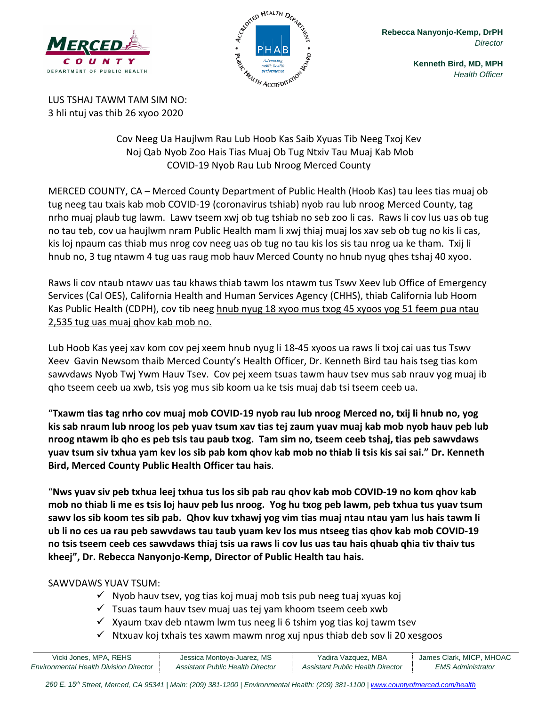



**Rebecca Nanyonjo-Kemp, DrPH** *Director*

> **Kenneth Bird, MD, MPH** *Health Officer*

LUS TSHAJ TAWM TAM SIM NO: 3 hli ntuj vas thib 26 xyoo 2020

> Cov Neeg Ua Haujlwm Rau Lub Hoob Kas Saib Xyuas Tib Neeg Txoj Kev Noj Qab Nyob Zoo Hais Tias Muaj Ob Tug Ntxiv Tau Muaj Kab Mob COVID-19 Nyob Rau Lub Nroog Merced County

MERCED COUNTY, CA – Merced County Department of Public Health (Hoob Kas) tau lees tias muaj ob tug neeg tau txais kab mob COVID-19 (coronavirus tshiab) nyob rau lub nroog Merced County, tag nrho muaj plaub tug lawm. Lawv tseem xwj ob tug tshiab no seb zoo li cas. Raws li cov lus uas ob tug no tau teb, cov ua haujlwm nram Public Health mam li xwj thiaj muaj los xav seb ob tug no kis li cas, kis loj npaum cas thiab mus nrog cov neeg uas ob tug no tau kis los sis tau nrog ua ke tham. Txij li hnub no, 3 tug ntawm 4 tug uas raug mob hauv Merced County no hnub nyug qhes tshaj 40 xyoo.

Raws li cov ntaub ntawv uas tau khaws thiab tawm los ntawm tus Tswv Xeev lub Office of Emergency Services (Cal OES), California Health and Human Services Agency (CHHS), thiab California lub Hoom Kas Public Health (CDPH), cov tib neeg hnub nyug 18 xyoo mus txog 45 xyoos yog 51 feem pua ntau 2,535 tug uas muaj qhov kab mob no.

Lub Hoob Kas yeej xav kom cov pej xeem hnub nyug li 18-45 xyoos ua raws li txoj cai uas tus Tswv Xeev Gavin Newsom thaib Merced County's Health Officer, Dr. Kenneth Bird tau hais tseg tias kom sawvdaws Nyob Twj Ywm Hauv Tsev. Cov pej xeem tsuas tawm hauv tsev mus sab nrauv yog muaj ib qho tseem ceeb ua xwb, tsis yog mus sib koom ua ke tsis muaj dab tsi tseem ceeb ua.

"**Txawm tias tag nrho cov muaj mob COVID-19 nyob rau lub nroog Merced no, txij li hnub no, yog kis sab nraum lub nroog los peb yuav tsum xav tias tej zaum yuav muaj kab mob nyob hauv peb lub nroog ntawm ib qho es peb tsis tau paub txog. Tam sim no, tseem ceeb tshaj, tias peb sawvdaws yuav tsum siv txhua yam kev los sib pab kom qhov kab mob no thiab li tsis kis sai sai." Dr. Kenneth Bird, Merced County Public Health Officer tau hais**.

"**Nws yuav siv peb txhua leej txhua tus los sib pab rau qhov kab mob COVID-19 no kom qhov kab mob no thiab li me es tsis loj hauv peb lus nroog. Yog hu txog peb lawm, peb txhua tus yuav tsum sawv los sib koom tes sib pab. Qhov kuv txhawj yog vim tias muaj ntau ntau yam lus hais tawm li ub li no ces ua rau peb sawvdaws tau taub yuam kev los mus ntseeg tias qhov kab mob COVID-19 no tsis tseem ceeb ces sawvdaws thiaj tsis ua raws li cov lus uas tau hais qhuab qhia tiv thaiv tus kheej", Dr. Rebecca Nanyonjo-Kemp, Director of Public Health tau hais.**

## SAWVDAWS YUAV TSUM:

- $\checkmark$  Nyob hauv tsev, yog tias koj muaj mob tsis pub neeg tuaj xyuas koj
- $\checkmark$  Tsuas taum hauv tsev muaj uas tej yam khoom tseem ceeb xwb
- $\checkmark$  Xyaum txav deb ntawm lwm tus neeg li 6 tshim yog tias koj tawm tsev
- $\checkmark$  Ntxuav koj txhais tes xawm mawm nrog xuj npus thiab deb sov li 20 xesgoos

| Vicki Jones, MPA, REHS                 | Jessica Montoya-Juarez, MS       | Yadira Vazquez, MBA              | James Clark, MICP, MHOAC |
|----------------------------------------|----------------------------------|----------------------------------|--------------------------|
| Environmental Health Division Director | Assistant Public Health Director | Assistant Public Health Director | <b>EMS Administrator</b> |